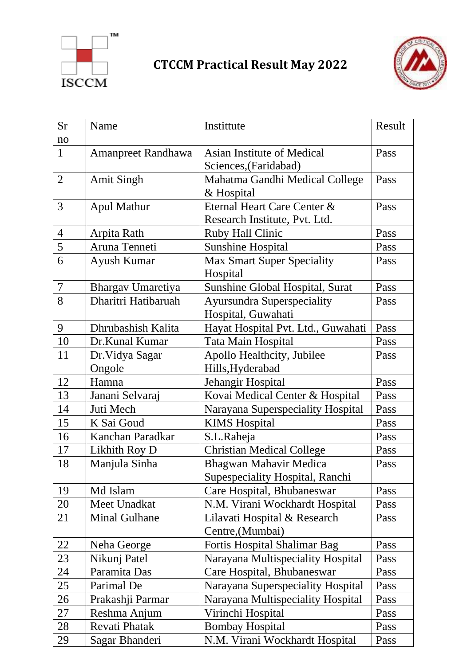

## **CTCCM Practical Result May 2022**



| <b>Sr</b><br>no | Name                      | Instittute                                                                 | Result |
|-----------------|---------------------------|----------------------------------------------------------------------------|--------|
| $\mathbf{1}$    | Amanpreet Randhawa        | Asian Institute of Medical                                                 | Pass   |
| 2               | <b>Amit Singh</b>         | Sciences, (Faridabad)<br>Mahatma Gandhi Medical College                    | Pass   |
| $\overline{3}$  | <b>Apul Mathur</b>        | & Hospital<br>Eternal Heart Care Center &<br>Research Institute, Pvt. Ltd. | Pass   |
| $\overline{4}$  | Arpita Rath               | <b>Ruby Hall Clinic</b>                                                    | Pass   |
| 5               | Aruna Tenneti             | <b>Sunshine Hospital</b>                                                   | Pass   |
| 6               | Ayush Kumar               | <b>Max Smart Super Speciality</b><br>Hospital                              | Pass   |
| $\overline{7}$  | Bhargav Umaretiya         | Sunshine Global Hospital, Surat                                            | Pass   |
| 8               | Dharitri Hatibaruah       | <b>Ayursundra Superspeciality</b><br>Hospital, Guwahati                    | Pass   |
| 9               | Dhrubashish Kalita        | Hayat Hospital Pvt. Ltd., Guwahati                                         | Pass   |
| 10              | Dr.Kunal Kumar            | Tata Main Hospital                                                         | Pass   |
| 11              | Dr. Vidya Sagar<br>Ongole | Apollo Healthcity, Jubilee<br>Hills, Hyderabad                             | Pass   |
| 12              | Hamna                     | Jehangir Hospital                                                          | Pass   |
| 13              | Janani Selvaraj           | Kovai Medical Center & Hospital                                            | Pass   |
| 14              | Juti Mech                 | Narayana Superspeciality Hospital                                          | Pass   |
| 15              | K Sai Goud                | <b>KIMS</b> Hospital                                                       | Pass   |
| 16              | Kanchan Paradkar          | S.L.Raheja                                                                 | Pass   |
| 17              | Likhith Roy D             | <b>Christian Medical College</b>                                           | Pass   |
| 18              | Manjula Sinha             | Bhagwan Mahavir Medica<br>Supespeciality Hospital, Ranchi                  | Pass   |
| 19              | Md Islam                  | Care Hospital, Bhubaneswar                                                 | Pass   |
| 20              | Meet Unadkat              | N.M. Virani Wockhardt Hospital                                             | Pass   |
| 21              | <b>Minal Gulhane</b>      | Lilavati Hospital & Research<br>Centre, (Mumbai)                           | Pass   |
| 22              | Neha George               | <b>Fortis Hospital Shalimar Bag</b>                                        | Pass   |
| 23              | Nikunj Patel              | Narayana Multispeciality Hospital                                          | Pass   |
| 24              | Paramita Das              | Care Hospital, Bhubaneswar                                                 | Pass   |
| 25              | Parimal De                | Narayana Superspeciality Hospital                                          | Pass   |
| 26              | Prakashji Parmar          | Narayana Multispeciality Hospital                                          | Pass   |
| 27              | Reshma Anjum              | Virinchi Hospital                                                          | Pass   |
| 28              | Revati Phatak             | <b>Bombay Hospital</b>                                                     | Pass   |
| 29              | Sagar Bhanderi            | N.M. Virani Wockhardt Hospital                                             | Pass   |